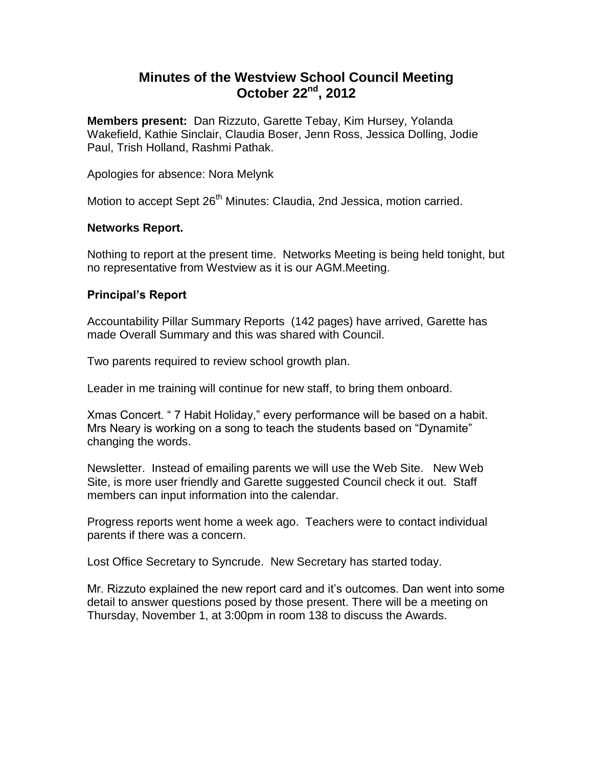# **Minutes of the Westview School Council Meeting October 22nd, 2012**

**Members present:** Dan Rizzuto, Garette Tebay, Kim Hursey, Yolanda Wakefield, Kathie Sinclair, Claudia Boser, Jenn Ross, Jessica Dolling, Jodie Paul, Trish Holland, Rashmi Pathak.

Apologies for absence: Nora Melynk

Motion to accept Sept 26<sup>th</sup> Minutes: Claudia, 2nd Jessica, motion carried.

# **Networks Report.**

Nothing to report at the present time. Networks Meeting is being held tonight, but no representative from Westview as it is our AGM.Meeting.

# **Principal's Report**

Accountability Pillar Summary Reports (142 pages) have arrived, Garette has made Overall Summary and this was shared with Council.

Two parents required to review school growth plan.

Leader in me training will continue for new staff, to bring them onboard.

Xmas Concert. " 7 Habit Holiday," every performance will be based on a habit. Mrs Neary is working on a song to teach the students based on "Dynamite" changing the words.

Newsletter. Instead of emailing parents we will use the Web Site. New Web Site, is more user friendly and Garette suggested Council check it out. Staff members can input information into the calendar.

Progress reports went home a week ago. Teachers were to contact individual parents if there was a concern.

Lost Office Secretary to Syncrude. New Secretary has started today.

Mr. Rizzuto explained the new report card and it's outcomes. Dan went into some detail to answer questions posed by those present. There will be a meeting on Thursday, November 1, at 3:00pm in room 138 to discuss the Awards.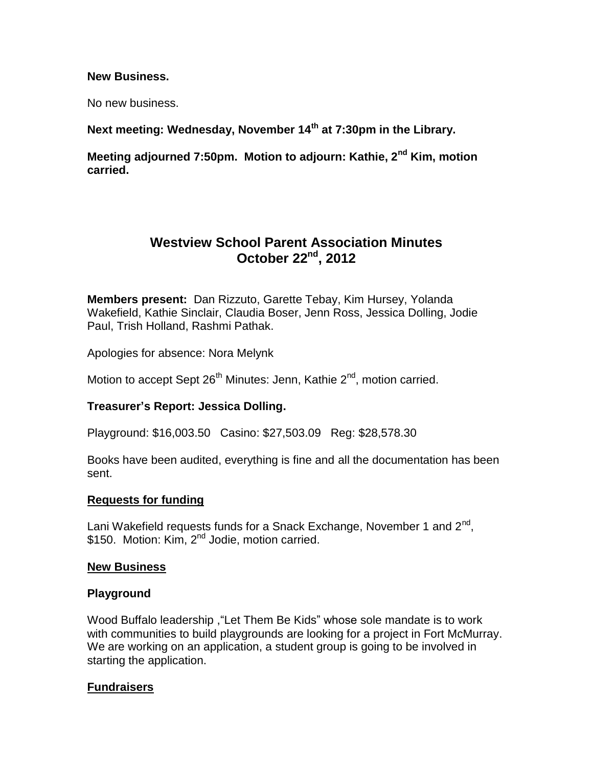#### **New Business.**

No new business.

**Next meeting: Wednesday, November 14th at 7:30pm in the Library.** 

**Meeting adjourned 7:50pm. Motion to adjourn: Kathie, 2nd Kim, motion carried.**

# **Westview School Parent Association Minutes October 22nd, 2012**

**Members present:** Dan Rizzuto, Garette Tebay, Kim Hursey, Yolanda Wakefield, Kathie Sinclair, Claudia Boser, Jenn Ross, Jessica Dolling, Jodie Paul, Trish Holland, Rashmi Pathak.

Apologies for absence: Nora Melynk

Motion to accept Sept  $26<sup>th</sup>$  Minutes: Jenn, Kathie  $2<sup>nd</sup>$ , motion carried.

## **Treasurer's Report: Jessica Dolling.**

Playground: \$16,003.50 Casino: \$27,503.09 Reg: \$28,578.30

Books have been audited, everything is fine and all the documentation has been sent.

## **Requests for funding**

Lani Wakefield requests funds for a Snack Exchange, November 1 and 2<sup>nd</sup>, \$150. Motion: Kim, 2<sup>nd</sup> Jodie, motion carried.

## **New Business**

## **Playground**

Wood Buffalo leadership ,"Let Them Be Kids" whose sole mandate is to work with communities to build playgrounds are looking for a project in Fort McMurray. We are working on an application, a student group is going to be involved in starting the application.

## **Fundraisers**